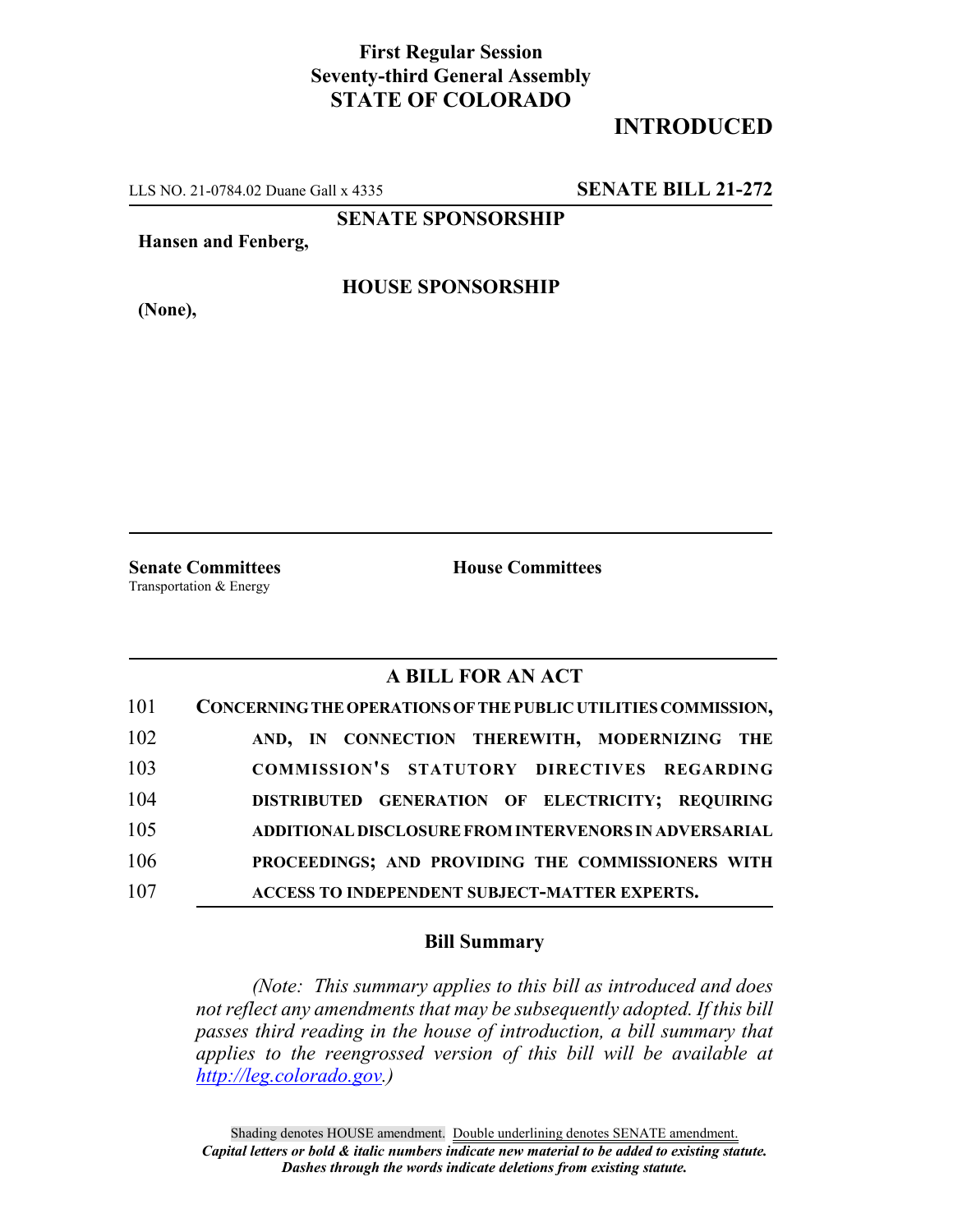## **First Regular Session Seventy-third General Assembly STATE OF COLORADO**

## **INTRODUCED**

LLS NO. 21-0784.02 Duane Gall x 4335 **SENATE BILL 21-272**

**SENATE SPONSORSHIP**

**Hansen and Fenberg,**

**(None),**

**HOUSE SPONSORSHIP**

**Senate Committees House Committees** Transportation & Energy

## **A BILL FOR AN ACT**

| 101 | CONCERNING THE OPERATIONS OF THE PUBLIC UTILITIES COMMISSION, |
|-----|---------------------------------------------------------------|
| 102 | AND, IN CONNECTION THEREWITH, MODERNIZING THE                 |
| 103 | COMMISSION'S STATUTORY DIRECTIVES REGARDING                   |
| 104 | DISTRIBUTED GENERATION OF ELECTRICITY; REQUIRING              |
| 105 | ADDITIONAL DISCLOSURE FROM INTERVENORS IN ADVERSARIAL         |
| 106 | PROCEEDINGS; AND PROVIDING THE COMMISSIONERS WITH             |
| 107 | ACCESS TO INDEPENDENT SUBJECT-MATTER EXPERTS.                 |

## **Bill Summary**

*(Note: This summary applies to this bill as introduced and does not reflect any amendments that may be subsequently adopted. If this bill passes third reading in the house of introduction, a bill summary that applies to the reengrossed version of this bill will be available at http://leg.colorado.gov.)*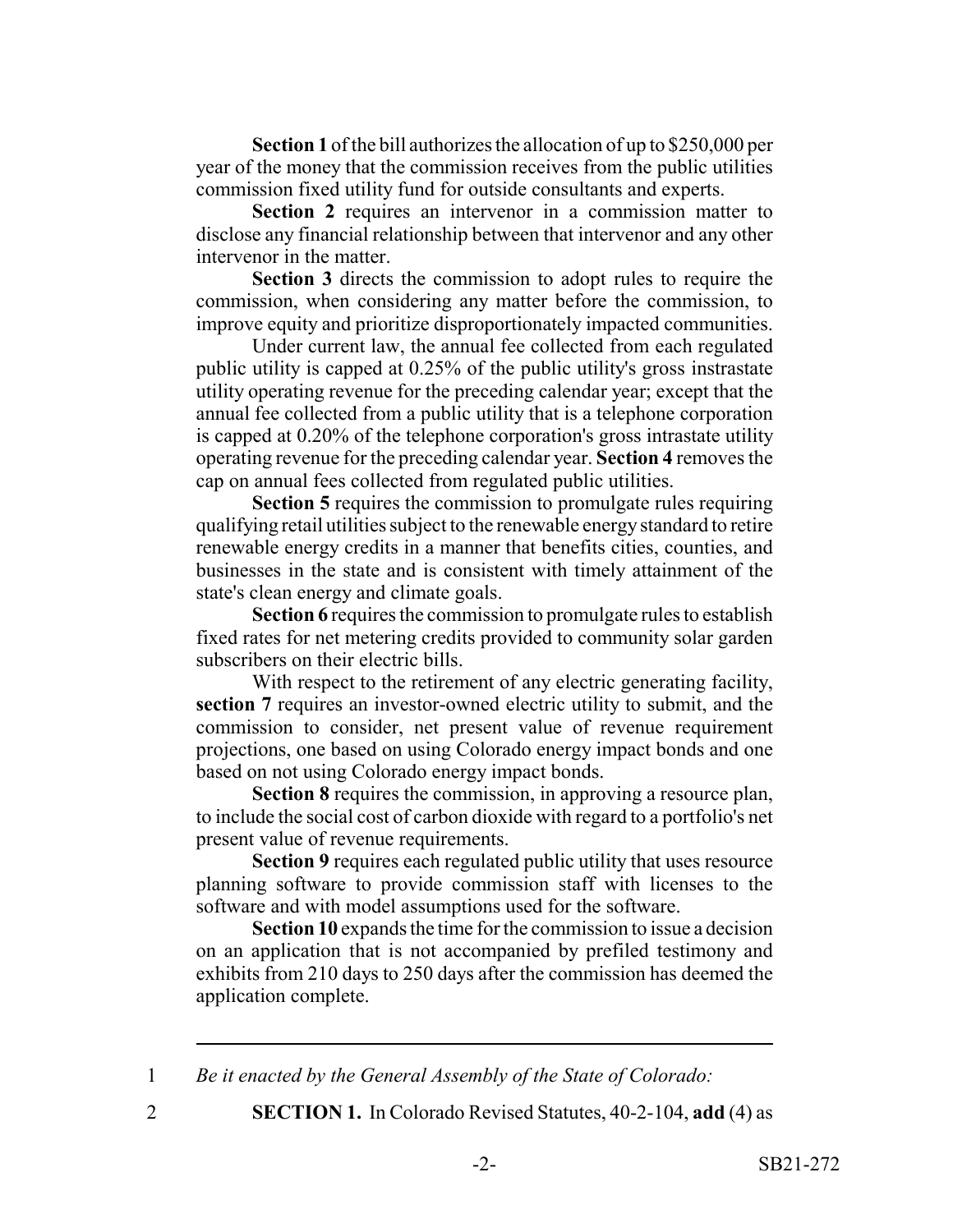**Section 1** of the bill authorizes the allocation of up to \$250,000 per year of the money that the commission receives from the public utilities commission fixed utility fund for outside consultants and experts.

**Section 2** requires an intervenor in a commission matter to disclose any financial relationship between that intervenor and any other intervenor in the matter.

**Section 3** directs the commission to adopt rules to require the commission, when considering any matter before the commission, to improve equity and prioritize disproportionately impacted communities.

Under current law, the annual fee collected from each regulated public utility is capped at 0.25% of the public utility's gross instrastate utility operating revenue for the preceding calendar year; except that the annual fee collected from a public utility that is a telephone corporation is capped at 0.20% of the telephone corporation's gross intrastate utility operating revenue for the preceding calendar year. **Section 4** removes the cap on annual fees collected from regulated public utilities.

**Section 5** requires the commission to promulgate rules requiring qualifying retail utilities subject to the renewable energy standard to retire renewable energy credits in a manner that benefits cities, counties, and businesses in the state and is consistent with timely attainment of the state's clean energy and climate goals.

**Section 6** requires the commission to promulgate rules to establish fixed rates for net metering credits provided to community solar garden subscribers on their electric bills.

With respect to the retirement of any electric generating facility, **section 7** requires an investor-owned electric utility to submit, and the commission to consider, net present value of revenue requirement projections, one based on using Colorado energy impact bonds and one based on not using Colorado energy impact bonds.

**Section 8** requires the commission, in approving a resource plan, to include the social cost of carbon dioxide with regard to a portfolio's net present value of revenue requirements.

**Section 9** requires each regulated public utility that uses resource planning software to provide commission staff with licenses to the software and with model assumptions used for the software.

**Section 10** expands the time for the commission to issue a decision on an application that is not accompanied by prefiled testimony and exhibits from 210 days to 250 days after the commission has deemed the application complete.

1 *Be it enacted by the General Assembly of the State of Colorado:*

- 
- 2 **SECTION 1.** In Colorado Revised Statutes, 40-2-104, **add** (4) as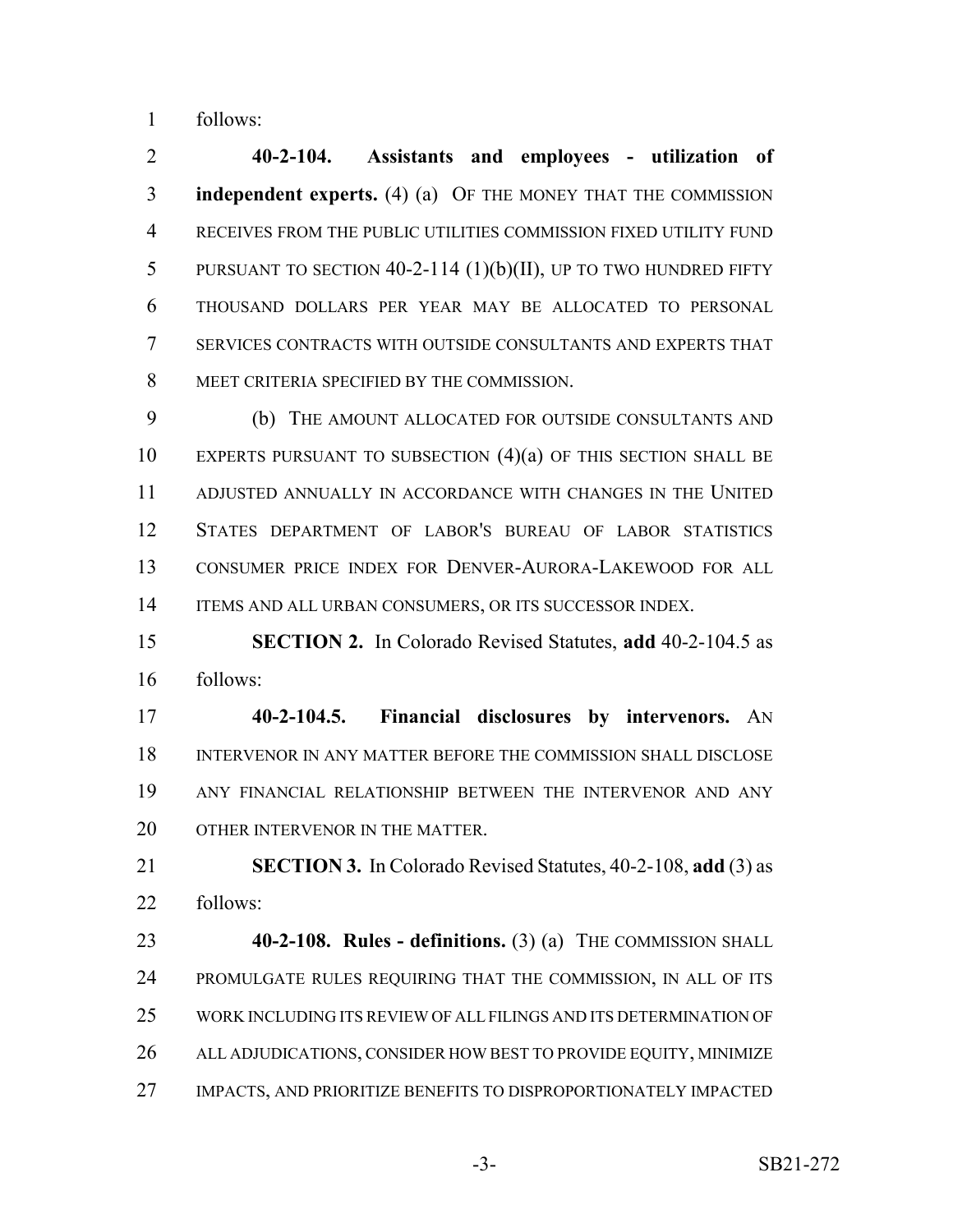follows:

 **40-2-104. Assistants and employees - utilization of independent experts.** (4) (a) OF THE MONEY THAT THE COMMISSION RECEIVES FROM THE PUBLIC UTILITIES COMMISSION FIXED UTILITY FUND PURSUANT TO SECTION 40-2-114 (1)(b)(II), UP TO TWO HUNDRED FIFTY THOUSAND DOLLARS PER YEAR MAY BE ALLOCATED TO PERSONAL SERVICES CONTRACTS WITH OUTSIDE CONSULTANTS AND EXPERTS THAT MEET CRITERIA SPECIFIED BY THE COMMISSION.

 (b) THE AMOUNT ALLOCATED FOR OUTSIDE CONSULTANTS AND EXPERTS PURSUANT TO SUBSECTION (4)(a) OF THIS SECTION SHALL BE ADJUSTED ANNUALLY IN ACCORDANCE WITH CHANGES IN THE UNITED STATES DEPARTMENT OF LABOR'S BUREAU OF LABOR STATISTICS CONSUMER PRICE INDEX FOR DENVER-AURORA-LAKEWOOD FOR ALL 14 ITEMS AND ALL URBAN CONSUMERS, OR ITS SUCCESSOR INDEX.

 **SECTION 2.** In Colorado Revised Statutes, **add** 40-2-104.5 as follows:

 **40-2-104.5. Financial disclosures by intervenors.** AN INTERVENOR IN ANY MATTER BEFORE THE COMMISSION SHALL DISCLOSE ANY FINANCIAL RELATIONSHIP BETWEEN THE INTERVENOR AND ANY 20 OTHER INTERVENOR IN THE MATTER.

 **SECTION 3.** In Colorado Revised Statutes, 40-2-108, **add** (3) as follows:

 **40-2-108. Rules - definitions.** (3) (a) THE COMMISSION SHALL PROMULGATE RULES REQUIRING THAT THE COMMISSION, IN ALL OF ITS WORK INCLUDING ITS REVIEW OF ALL FILINGS AND ITS DETERMINATION OF ALL ADJUDICATIONS, CONSIDER HOW BEST TO PROVIDE EQUITY, MINIMIZE IMPACTS, AND PRIORITIZE BENEFITS TO DISPROPORTIONATELY IMPACTED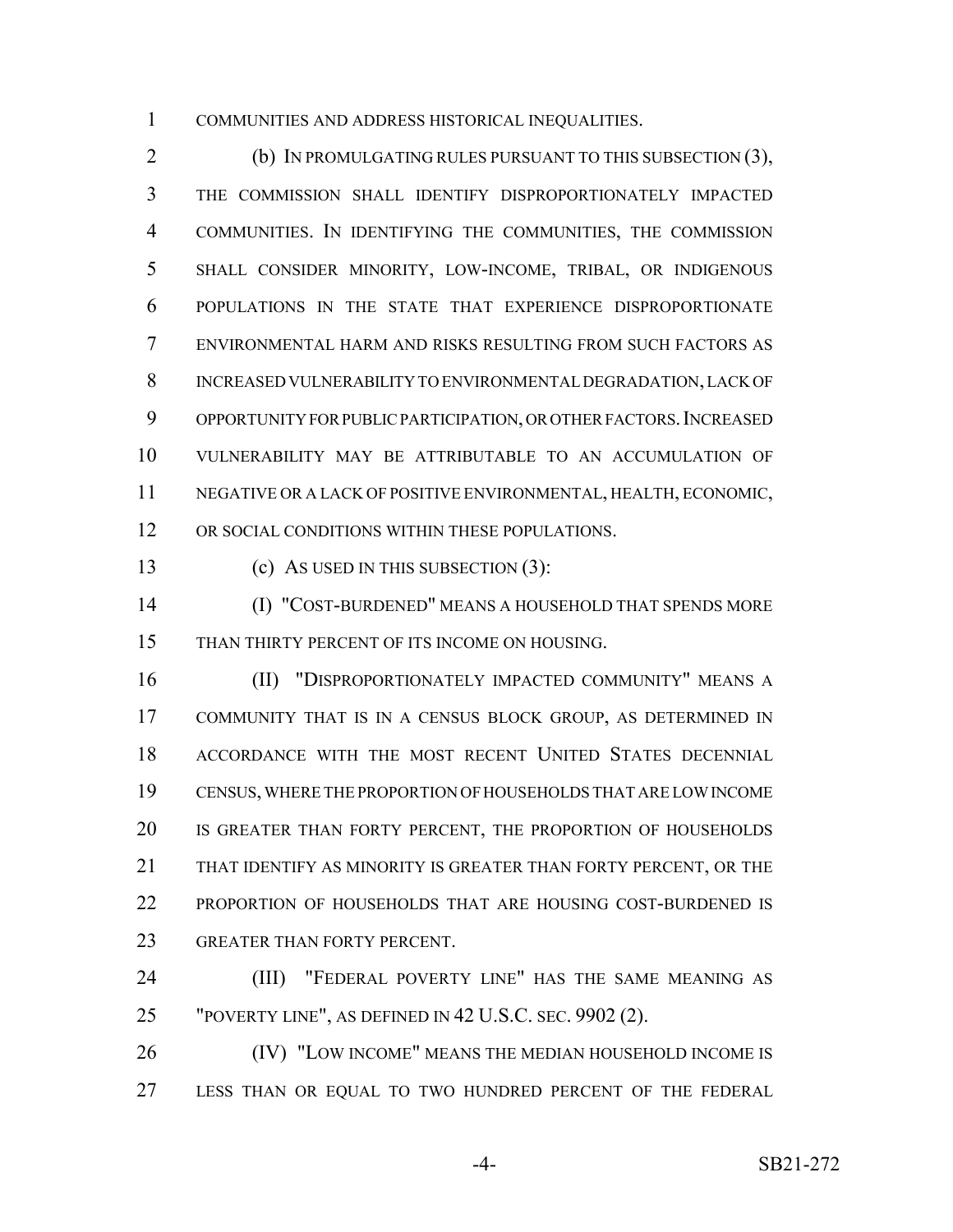COMMUNITIES AND ADDRESS HISTORICAL INEQUALITIES.

 (b) IN PROMULGATING RULES PURSUANT TO THIS SUBSECTION (3), THE COMMISSION SHALL IDENTIFY DISPROPORTIONATELY IMPACTED COMMUNITIES. IN IDENTIFYING THE COMMUNITIES, THE COMMISSION SHALL CONSIDER MINORITY, LOW-INCOME, TRIBAL, OR INDIGENOUS POPULATIONS IN THE STATE THAT EXPERIENCE DISPROPORTIONATE ENVIRONMENTAL HARM AND RISKS RESULTING FROM SUCH FACTORS AS INCREASED VULNERABILITY TO ENVIRONMENTAL DEGRADATION, LACK OF 9 OPPORTUNITY FOR PUBLIC PARTICIPATION, OR OTHER FACTORS. INCREASED VULNERABILITY MAY BE ATTRIBUTABLE TO AN ACCUMULATION OF NEGATIVE OR A LACK OF POSITIVE ENVIRONMENTAL, HEALTH, ECONOMIC, 12 OR SOCIAL CONDITIONS WITHIN THESE POPULATIONS.

(c) AS USED IN THIS SUBSECTION (3):

 (I) "COST-BURDENED" MEANS A HOUSEHOLD THAT SPENDS MORE THAN THIRTY PERCENT OF ITS INCOME ON HOUSING.

 (II) "DISPROPORTIONATELY IMPACTED COMMUNITY" MEANS A COMMUNITY THAT IS IN A CENSUS BLOCK GROUP, AS DETERMINED IN ACCORDANCE WITH THE MOST RECENT UNITED STATES DECENNIAL CENSUS, WHERE THE PROPORTION OF HOUSEHOLDS THAT ARE LOW INCOME 20 IS GREATER THAN FORTY PERCENT, THE PROPORTION OF HOUSEHOLDS THAT IDENTIFY AS MINORITY IS GREATER THAN FORTY PERCENT, OR THE PROPORTION OF HOUSEHOLDS THAT ARE HOUSING COST-BURDENED IS GREATER THAN FORTY PERCENT.

 (III) "FEDERAL POVERTY LINE" HAS THE SAME MEANING AS "POVERTY LINE", AS DEFINED IN 42 U.S.C. SEC. 9902 (2).

**(IV)** "LOW INCOME" MEANS THE MEDIAN HOUSEHOLD INCOME IS LESS THAN OR EQUAL TO TWO HUNDRED PERCENT OF THE FEDERAL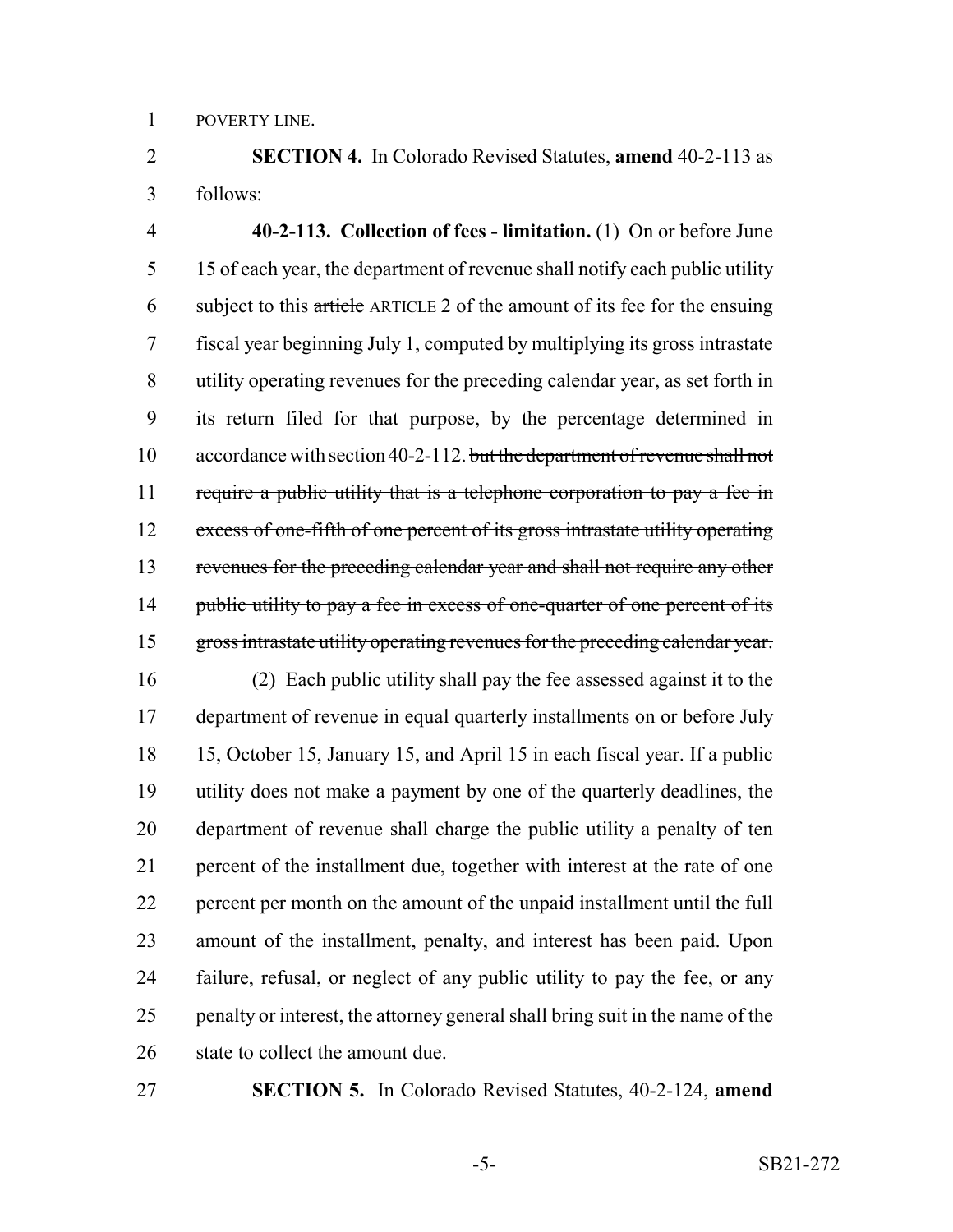POVERTY LINE.

 **SECTION 4.** In Colorado Revised Statutes, **amend** 40-2-113 as follows:

 **40-2-113. Collection of fees - limitation.** (1) On or before June 15 of each year, the department of revenue shall notify each public utility subject to this article ARTICLE 2 of the amount of its fee for the ensuing fiscal year beginning July 1, computed by multiplying its gross intrastate utility operating revenues for the preceding calendar year, as set forth in its return filed for that purpose, by the percentage determined in 10 accordance with section 40-2-112. but the department of revenue shall not 11 require a public utility that is a telephone corporation to pay a fee in excess of one-fifth of one percent of its gross intrastate utility operating 13 revenues for the preceding calendar year and shall not require any other 14 public utility to pay a fee in excess of one-quarter of one percent of its 15 gross intrastate utility operating revenues for the preceding calendar year.

 (2) Each public utility shall pay the fee assessed against it to the department of revenue in equal quarterly installments on or before July 15, October 15, January 15, and April 15 in each fiscal year. If a public utility does not make a payment by one of the quarterly deadlines, the department of revenue shall charge the public utility a penalty of ten percent of the installment due, together with interest at the rate of one percent per month on the amount of the unpaid installment until the full amount of the installment, penalty, and interest has been paid. Upon failure, refusal, or neglect of any public utility to pay the fee, or any 25 penalty or interest, the attorney general shall bring suit in the name of the 26 state to collect the amount due.

**SECTION 5.** In Colorado Revised Statutes, 40-2-124, **amend**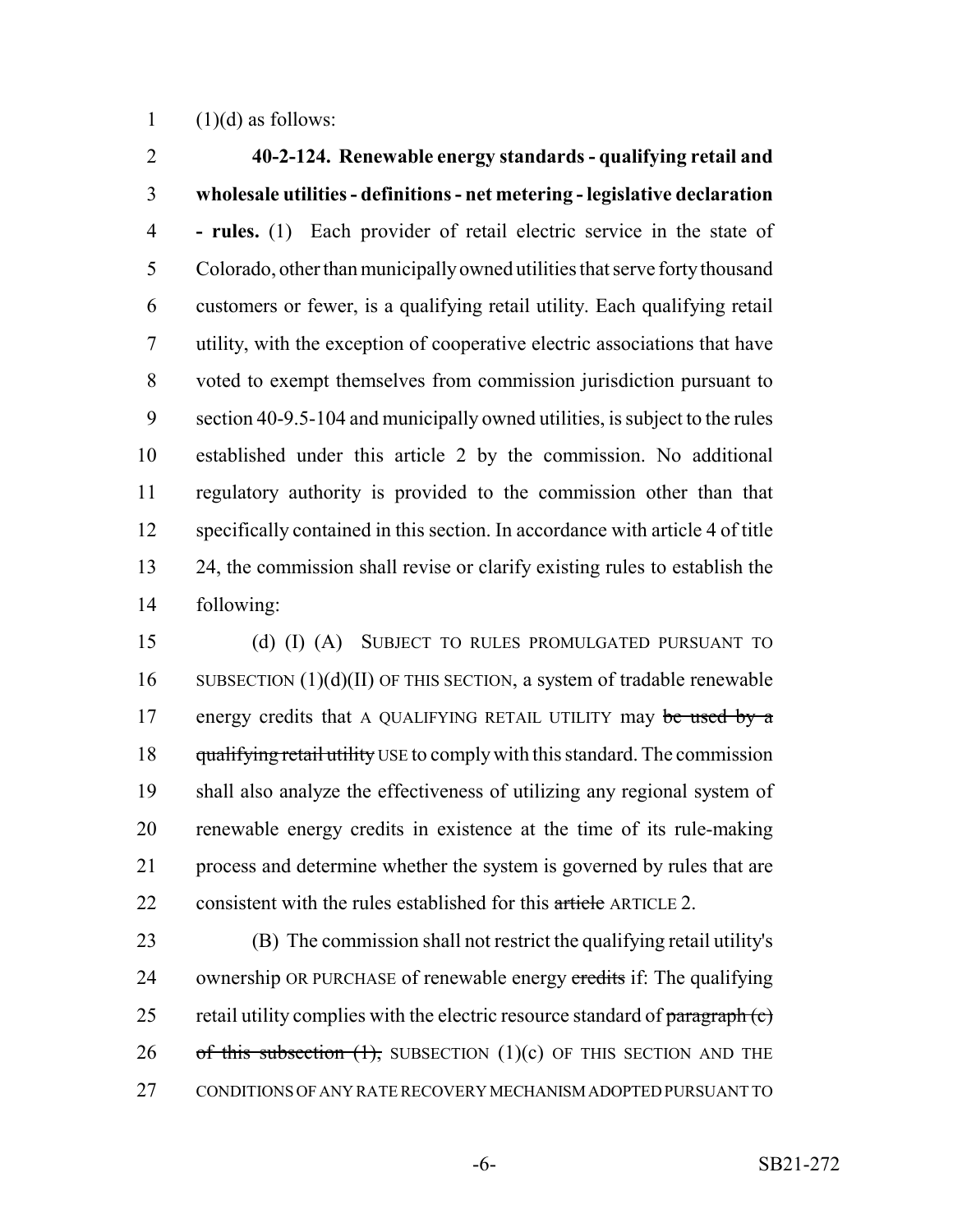1  $(1)(d)$  as follows:

 **40-2-124. Renewable energy standards - qualifying retail and wholesale utilities - definitions - net metering - legislative declaration - rules.** (1) Each provider of retail electric service in the state of Colorado, other than municipally owned utilities that serve forty thousand customers or fewer, is a qualifying retail utility. Each qualifying retail utility, with the exception of cooperative electric associations that have voted to exempt themselves from commission jurisdiction pursuant to section 40-9.5-104 and municipally owned utilities, is subject to the rules established under this article 2 by the commission. No additional regulatory authority is provided to the commission other than that specifically contained in this section. In accordance with article 4 of title 24, the commission shall revise or clarify existing rules to establish the following:

 (d) (I) (A) SUBJECT TO RULES PROMULGATED PURSUANT TO 16 SUBSECTION  $(1)(d)(II)$  OF THIS SECTION, a system of tradable renewable 17 energy credits that A QUALIFYING RETAIL UTILITY may be used by a 18 qualifying retail utility USE to comply with this standard. The commission shall also analyze the effectiveness of utilizing any regional system of renewable energy credits in existence at the time of its rule-making process and determine whether the system is governed by rules that are 22 consistent with the rules established for this article ARTICLE 2.

 (B) The commission shall not restrict the qualifying retail utility's 24 ownership OR PURCHASE of renewable energy credits if: The qualifying 25 retail utility complies with the electric resource standard of  $\frac{\text{param}}{\text{param}}(c)$ 26 of this subsection  $(1)$ , SUBSECTION  $(1)(c)$  OF THIS SECTION AND THE CONDITIONS OF ANY RATE RECOVERY MECHANISM ADOPTED PURSUANT TO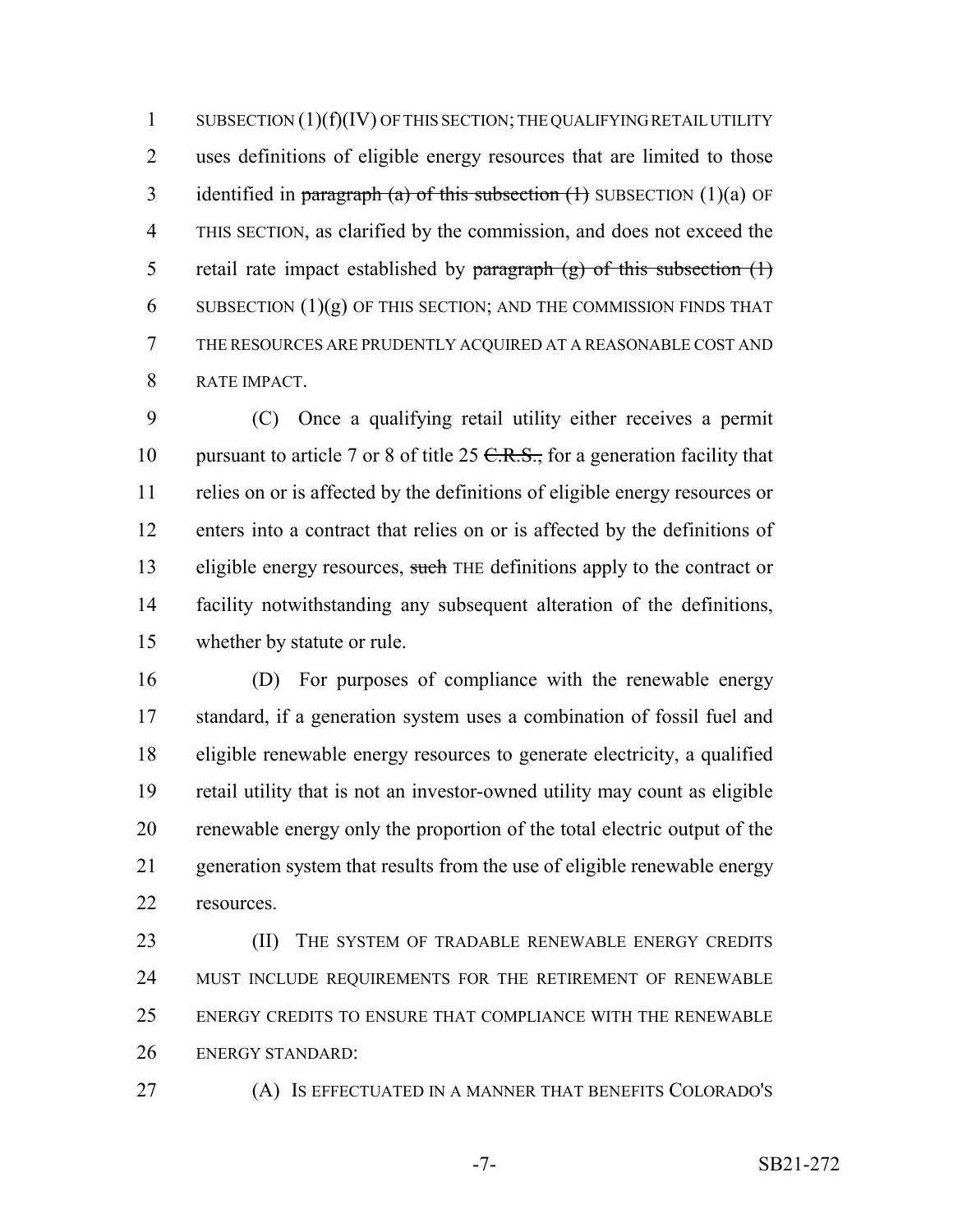1 SUBSECTION (1)(f)(IV) OF THIS SECTION; THE QUALIFYING RETAIL UTILITY uses definitions of eligible energy resources that are limited to those 3 identified in paragraph (a) of this subsection  $(1)$  SUBSECTION  $(1)(a)$  OF THIS SECTION, as clarified by the commission, and does not exceed the 5 retail rate impact established by paragraph  $(g)$  of this subsection  $(1)$ 6 SUBSECTION  $(1)(g)$  OF THIS SECTION; AND THE COMMISSION FINDS THAT THE RESOURCES ARE PRUDENTLY ACQUIRED AT A REASONABLE COST AND RATE IMPACT.

 (C) Once a qualifying retail utility either receives a permit 10 pursuant to article 7 or 8 of title 25  $C.R.S.,$  for a generation facility that relies on or is affected by the definitions of eligible energy resources or enters into a contract that relies on or is affected by the definitions of 13 eligible energy resources, such THE definitions apply to the contract or facility notwithstanding any subsequent alteration of the definitions, whether by statute or rule.

 (D) For purposes of compliance with the renewable energy standard, if a generation system uses a combination of fossil fuel and eligible renewable energy resources to generate electricity, a qualified retail utility that is not an investor-owned utility may count as eligible renewable energy only the proportion of the total electric output of the generation system that results from the use of eligible renewable energy resources.

23 (II) THE SYSTEM OF TRADABLE RENEWABLE ENERGY CREDITS MUST INCLUDE REQUIREMENTS FOR THE RETIREMENT OF RENEWABLE ENERGY CREDITS TO ENSURE THAT COMPLIANCE WITH THE RENEWABLE ENERGY STANDARD:

(A) IS EFFECTUATED IN A MANNER THAT BENEFITS COLORADO'S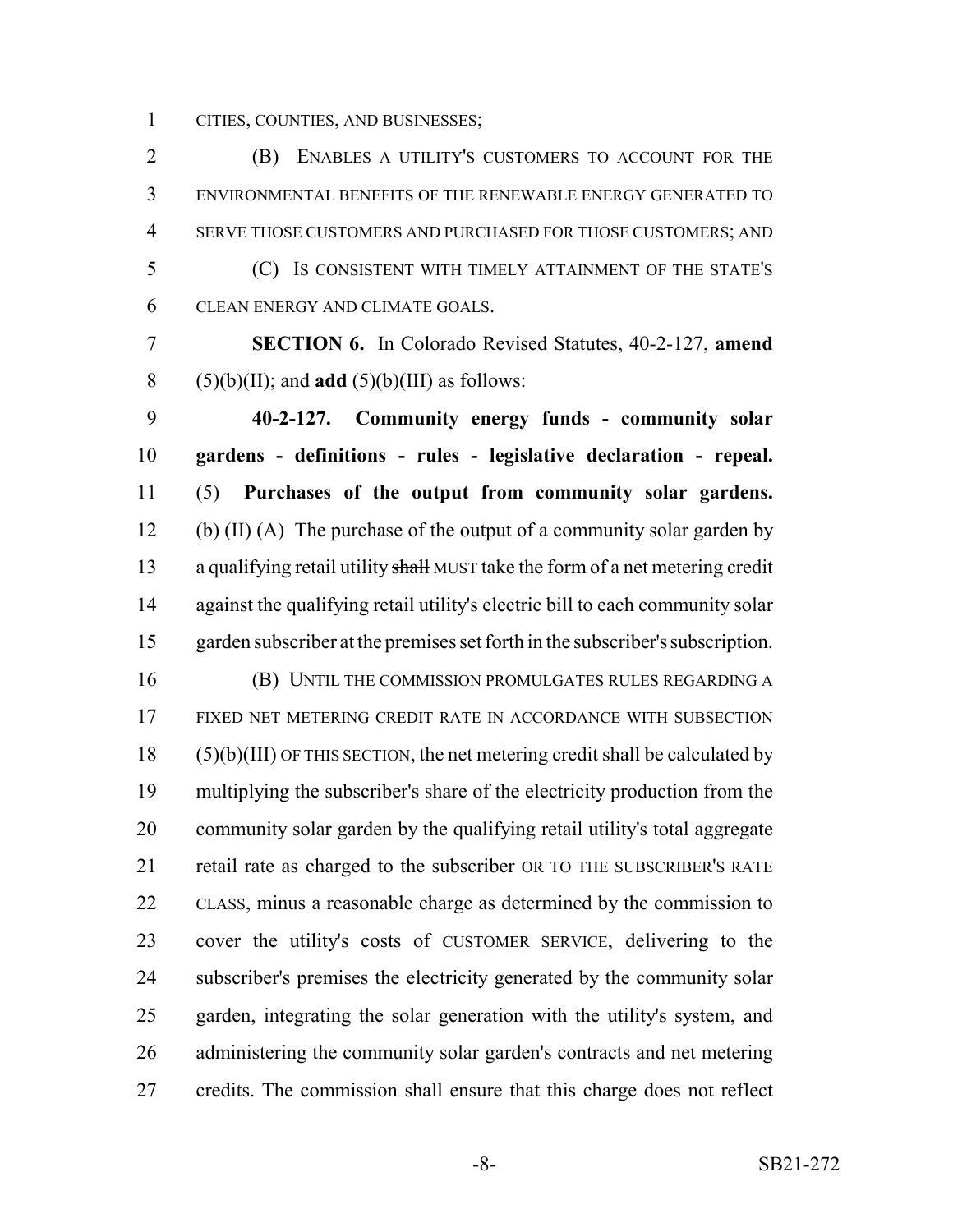CITIES, COUNTIES, AND BUSINESSES;

 (B) ENABLES A UTILITY'S CUSTOMERS TO ACCOUNT FOR THE ENVIRONMENTAL BENEFITS OF THE RENEWABLE ENERGY GENERATED TO SERVE THOSE CUSTOMERS AND PURCHASED FOR THOSE CUSTOMERS; AND (C) IS CONSISTENT WITH TIMELY ATTAINMENT OF THE STATE'S CLEAN ENERGY AND CLIMATE GOALS.

 **SECTION 6.** In Colorado Revised Statutes, 40-2-127, **amend** 8  $(5)(b)(II)$ ; and **add**  $(5)(b)(III)$  as follows:

 **40-2-127. Community energy funds - community solar gardens - definitions - rules - legislative declaration - repeal.** (5) **Purchases of the output from community solar gardens.** 12 (b) (II) (A) The purchase of the output of a community solar garden by 13 a qualifying retail utility shall MUST take the form of a net metering credit against the qualifying retail utility's electric bill to each community solar garden subscriber at the premises set forth in the subscriber's subscription. (B) UNTIL THE COMMISSION PROMULGATES RULES REGARDING A FIXED NET METERING CREDIT RATE IN ACCORDANCE WITH SUBSECTION (5)(b)(III) OF THIS SECTION, the net metering credit shall be calculated by multiplying the subscriber's share of the electricity production from the community solar garden by the qualifying retail utility's total aggregate retail rate as charged to the subscriber OR TO THE SUBSCRIBER'S RATE CLASS, minus a reasonable charge as determined by the commission to cover the utility's costs of CUSTOMER SERVICE, delivering to the subscriber's premises the electricity generated by the community solar garden, integrating the solar generation with the utility's system, and administering the community solar garden's contracts and net metering credits. The commission shall ensure that this charge does not reflect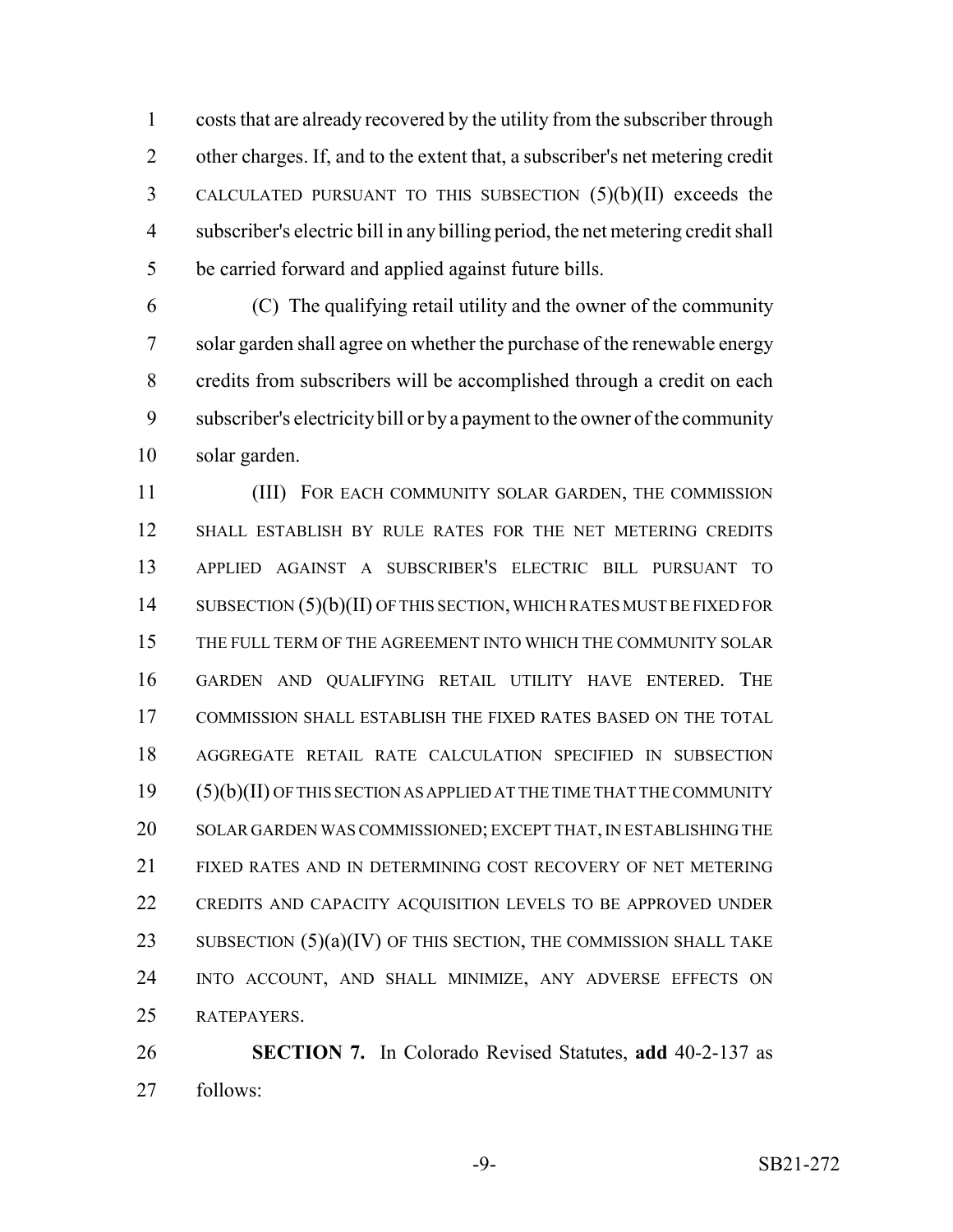costs that are already recovered by the utility from the subscriber through other charges. If, and to the extent that, a subscriber's net metering credit CALCULATED PURSUANT TO THIS SUBSECTION (5)(b)(II) exceeds the subscriber's electric bill in any billing period, the net metering credit shall be carried forward and applied against future bills.

 (C) The qualifying retail utility and the owner of the community solar garden shall agree on whether the purchase of the renewable energy credits from subscribers will be accomplished through a credit on each subscriber's electricity bill or by a payment to the owner of the community solar garden.

 (III) FOR EACH COMMUNITY SOLAR GARDEN, THE COMMISSION SHALL ESTABLISH BY RULE RATES FOR THE NET METERING CREDITS APPLIED AGAINST A SUBSCRIBER'S ELECTRIC BILL PURSUANT TO 14 SUBSECTION (5)(b)(II) OF THIS SECTION, WHICH RATES MUST BE FIXED FOR THE FULL TERM OF THE AGREEMENT INTO WHICH THE COMMUNITY SOLAR GARDEN AND QUALIFYING RETAIL UTILITY HAVE ENTERED. THE COMMISSION SHALL ESTABLISH THE FIXED RATES BASED ON THE TOTAL AGGREGATE RETAIL RATE CALCULATION SPECIFIED IN SUBSECTION (5)(b)(II) OF THIS SECTION AS APPLIED AT THE TIME THAT THE COMMUNITY SOLAR GARDEN WAS COMMISSIONED; EXCEPT THAT, IN ESTABLISHING THE FIXED RATES AND IN DETERMINING COST RECOVERY OF NET METERING CREDITS AND CAPACITY ACQUISITION LEVELS TO BE APPROVED UNDER 23 SUBSECTION  $(5)(a)(IV)$  OF THIS SECTION, THE COMMISSION SHALL TAKE INTO ACCOUNT, AND SHALL MINIMIZE, ANY ADVERSE EFFECTS ON RATEPAYERS.

 **SECTION 7.** In Colorado Revised Statutes, **add** 40-2-137 as follows: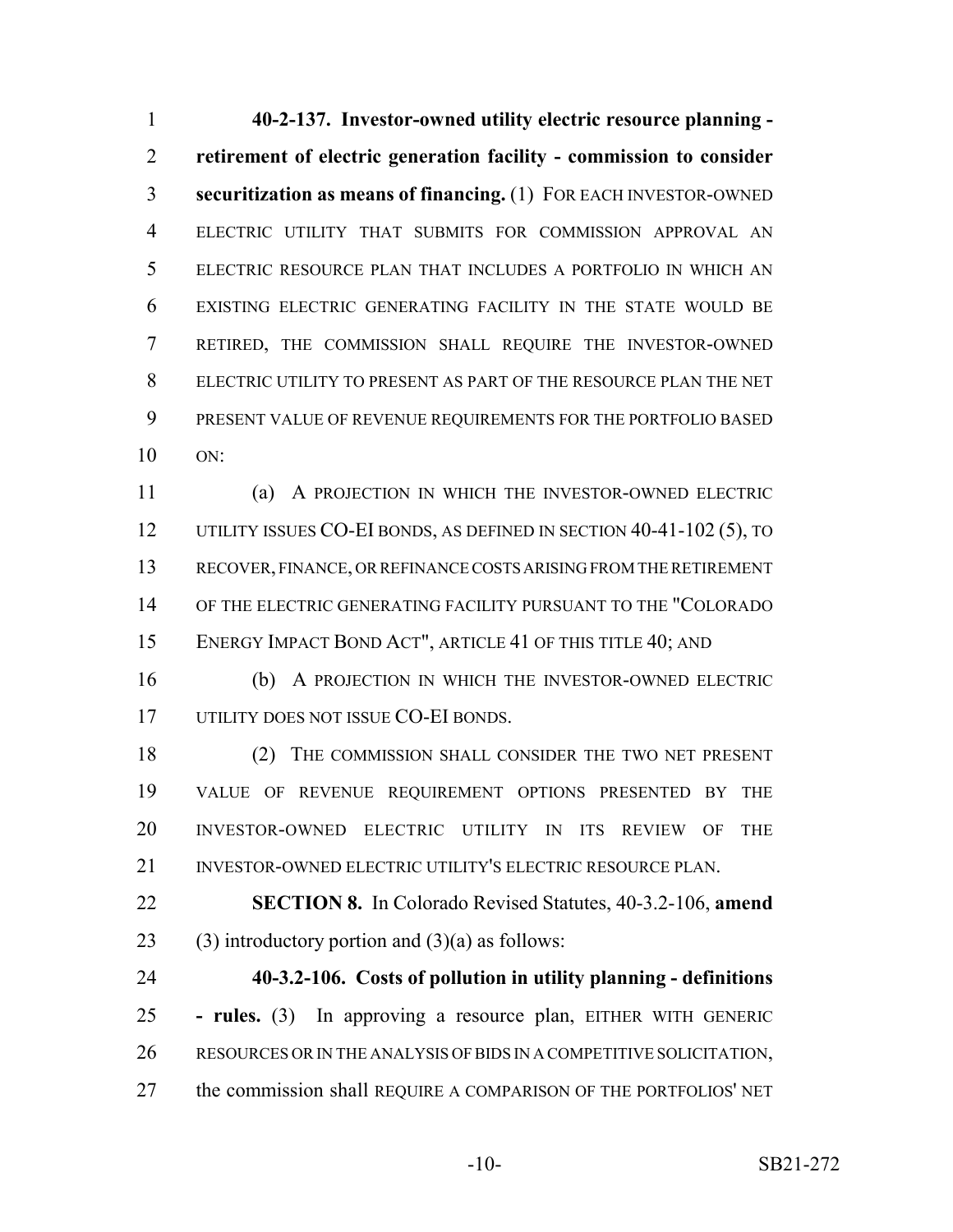**40-2-137. Investor-owned utility electric resource planning - retirement of electric generation facility - commission to consider securitization as means of financing.** (1) FOR EACH INVESTOR-OWNED ELECTRIC UTILITY THAT SUBMITS FOR COMMISSION APPROVAL AN ELECTRIC RESOURCE PLAN THAT INCLUDES A PORTFOLIO IN WHICH AN EXISTING ELECTRIC GENERATING FACILITY IN THE STATE WOULD BE RETIRED, THE COMMISSION SHALL REQUIRE THE INVESTOR-OWNED ELECTRIC UTILITY TO PRESENT AS PART OF THE RESOURCE PLAN THE NET PRESENT VALUE OF REVENUE REQUIREMENTS FOR THE PORTFOLIO BASED ON:

 (a) A PROJECTION IN WHICH THE INVESTOR-OWNED ELECTRIC UTILITY ISSUES CO-EI BONDS, AS DEFINED IN SECTION 40-41-102 (5), TO RECOVER, FINANCE, OR REFINANCE COSTS ARISING FROM THE RETIREMENT OF THE ELECTRIC GENERATING FACILITY PURSUANT TO THE "COLORADO 15 ENERGY IMPACT BOND ACT", ARTICLE 41 OF THIS TITLE 40; AND

 (b) A PROJECTION IN WHICH THE INVESTOR-OWNED ELECTRIC 17 UTILITY DOES NOT ISSUE CO-EI BONDS.

18 (2) THE COMMISSION SHALL CONSIDER THE TWO NET PRESENT VALUE OF REVENUE REQUIREMENT OPTIONS PRESENTED BY THE INVESTOR-OWNED ELECTRIC UTILITY IN ITS REVIEW OF THE INVESTOR-OWNED ELECTRIC UTILITY'S ELECTRIC RESOURCE PLAN.

 **SECTION 8.** In Colorado Revised Statutes, 40-3.2-106, **amend** 23 (3) introductory portion and  $(3)(a)$  as follows:

 **40-3.2-106. Costs of pollution in utility planning - definitions - rules.** (3) In approving a resource plan, EITHER WITH GENERIC RESOURCES OR IN THE ANALYSIS OF BIDS IN A COMPETITIVE SOLICITATION, 27 the commission shall REQUIRE A COMPARISON OF THE PORTFOLIOS' NET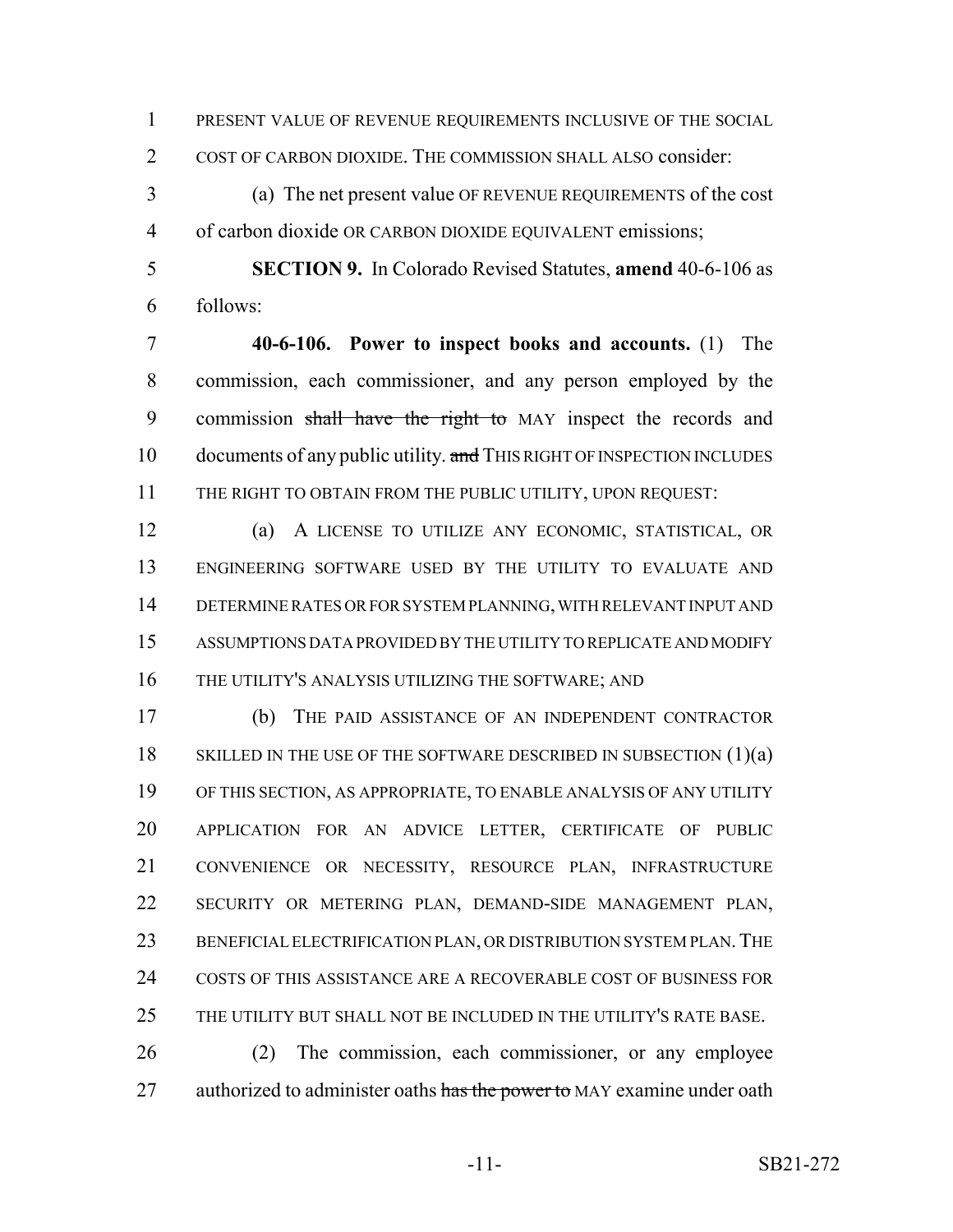PRESENT VALUE OF REVENUE REQUIREMENTS INCLUSIVE OF THE SOCIAL

COST OF CARBON DIOXIDE. THE COMMISSION SHALL ALSO consider:

 (a) The net present value OF REVENUE REQUIREMENTS of the cost of carbon dioxide OR CARBON DIOXIDE EQUIVALENT emissions;

 **SECTION 9.** In Colorado Revised Statutes, **amend** 40-6-106 as follows:

 **40-6-106. Power to inspect books and accounts.** (1) The commission, each commissioner, and any person employed by the 9 commission shall have the right to MAY inspect the records and 10 documents of any public utility. and THIS RIGHT OF INSPECTION INCLUDES 11 THE RIGHT TO OBTAIN FROM THE PUBLIC UTILITY, UPON REQUEST:

 (a) A LICENSE TO UTILIZE ANY ECONOMIC, STATISTICAL, OR ENGINEERING SOFTWARE USED BY THE UTILITY TO EVALUATE AND DETERMINE RATES OR FOR SYSTEM PLANNING, WITH RELEVANT INPUT AND ASSUMPTIONS DATA PROVIDED BY THE UTILITY TO REPLICATE AND MODIFY THE UTILITY'S ANALYSIS UTILIZING THE SOFTWARE; AND

 (b) THE PAID ASSISTANCE OF AN INDEPENDENT CONTRACTOR 18 SKILLED IN THE USE OF THE SOFTWARE DESCRIBED IN SUBSECTION (1)(a) OF THIS SECTION, AS APPROPRIATE, TO ENABLE ANALYSIS OF ANY UTILITY APPLICATION FOR AN ADVICE LETTER, CERTIFICATE OF PUBLIC CONVENIENCE OR NECESSITY, RESOURCE PLAN, INFRASTRUCTURE SECURITY OR METERING PLAN, DEMAND-SIDE MANAGEMENT PLAN, 23 BENEFICIAL ELECTRIFICATION PLAN, OR DISTRIBUTION SYSTEM PLAN. THE COSTS OF THIS ASSISTANCE ARE A RECOVERABLE COST OF BUSINESS FOR THE UTILITY BUT SHALL NOT BE INCLUDED IN THE UTILITY'S RATE BASE.

 (2) The commission, each commissioner, or any employee 27 authorized to administer oaths has the power to MAY examine under oath